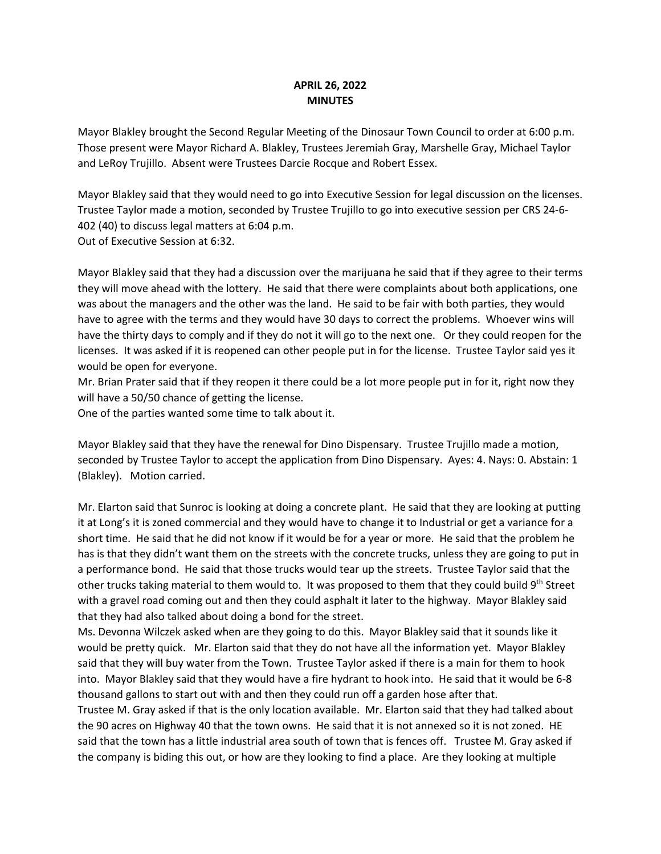## **APRIL 26, 2022 MINUTES**

Mayor Blakley brought the Second Regular Meeting of the Dinosaur Town Council to order at 6:00 p.m. Those present were Mayor Richard A. Blakley, Trustees Jeremiah Gray, Marshelle Gray, Michael Taylor and LeRoy Trujillo. Absent were Trustees Darcie Rocque and Robert Essex.

Mayor Blakley said that they would need to go into Executive Session for legal discussion on the licenses. Trustee Taylor made a motion, seconded by Trustee Trujillo to go into executive session per CRS 24-6- 402 (40) to discuss legal matters at 6:04 p.m. Out of Executive Session at 6:32.

Mayor Blakley said that they had a discussion over the marijuana he said that if they agree to their terms they will move ahead with the lottery. He said that there were complaints about both applications, one was about the managers and the other was the land. He said to be fair with both parties, they would have to agree with the terms and they would have 30 days to correct the problems. Whoever wins will have the thirty days to comply and if they do not it will go to the next one. Or they could reopen for the licenses. It was asked if it is reopened can other people put in for the license. Trustee Taylor said yes it would be open for everyone.

Mr. Brian Prater said that if they reopen it there could be a lot more people put in for it, right now they will have a 50/50 chance of getting the license.

One of the parties wanted some time to talk about it.

Mayor Blakley said that they have the renewal for Dino Dispensary. Trustee Trujillo made a motion, seconded by Trustee Taylor to accept the application from Dino Dispensary. Ayes: 4. Nays: 0. Abstain: 1 (Blakley). Motion carried.

Mr. Elarton said that Sunroc is looking at doing a concrete plant. He said that they are looking at putting it at Long's it is zoned commercial and they would have to change it to Industrial or get a variance for a short time. He said that he did not know if it would be for a year or more. He said that the problem he has is that they didn't want them on the streets with the concrete trucks, unless they are going to put in a performance bond. He said that those trucks would tear up the streets. Trustee Taylor said that the other trucks taking material to them would to. It was proposed to them that they could build 9th Street with a gravel road coming out and then they could asphalt it later to the highway. Mayor Blakley said that they had also talked about doing a bond for the street.

Ms. Devonna Wilczek asked when are they going to do this. Mayor Blakley said that it sounds like it would be pretty quick. Mr. Elarton said that they do not have all the information yet. Mayor Blakley said that they will buy water from the Town. Trustee Taylor asked if there is a main for them to hook into. Mayor Blakley said that they would have a fire hydrant to hook into. He said that it would be 6-8 thousand gallons to start out with and then they could run off a garden hose after that.

Trustee M. Gray asked if that is the only location available. Mr. Elarton said that they had talked about the 90 acres on Highway 40 that the town owns. He said that it is not annexed so it is not zoned. HE said that the town has a little industrial area south of town that is fences off. Trustee M. Gray asked if the company is biding this out, or how are they looking to find a place. Are they looking at multiple